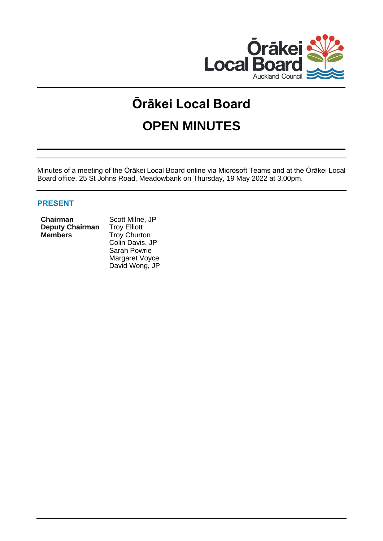

# **Ōrākei Local Board OPEN MINUTES**

Minutes of a meeting of the Ōrākei Local Board online via Microsoft Teams and at the Ōrākei Local Board office, 25 St Johns Road, Meadowbank on Thursday, 19 May 2022 at 3.00pm.

# **PRESENT**

#### **Chairman** Scott Milne, JP **Deputy Chairman** Troy Elliott **Members** Troy Churton

Colin Davis, JP Sarah Powrie Margaret Voyce David Wong, JP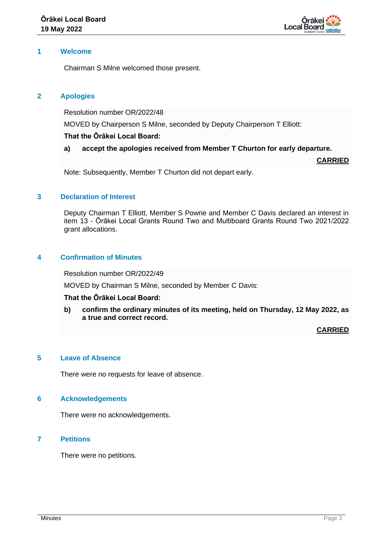

## **1 Welcome**

Chairman S Milne welcomed those present.

## **2 Apologies**

Resolution number OR/2022/48

MOVED by Chairperson S Milne, seconded by Deputy Chairperson T Elliott:

## **That the Ōrākei Local Board:**

## **a) accept the apologies received from Member T Churton for early departure.**

**CARRIED**

Note: Subsequently, Member T Churton did not depart early.

## **3 Declaration of Interest**

Deputy Chairman T Elliott, Member S Powrie and Member C Davis declared an interest in item 13 - Ōrākei Local Grants Round Two and Multiboard Grants Round Two 2021/2022 grant allocations.

# **4 Confirmation of Minutes**

Resolution number OR/2022/49

MOVED by Chairman S Milne, seconded by Member C Davis:

#### **That the Ōrākei Local Board:**

**b) confirm the ordinary minutes of its meeting, held on Thursday, 12 May 2022, as a true and correct record.**

**CARRIED**

#### **5 Leave of Absence**

There were no requests for leave of absence.

#### **6 Acknowledgements**

There were no acknowledgements.

## **7 Petitions**

There were no petitions.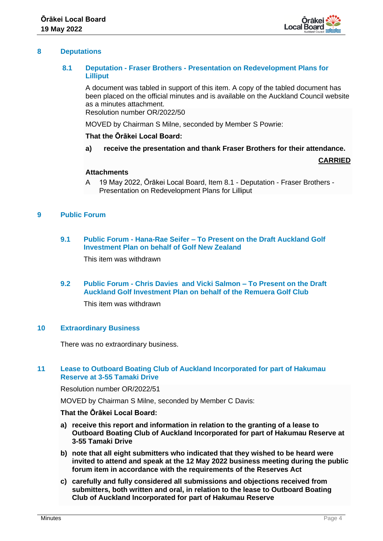

## **8 Deputations**

## **8.1 Deputation - Fraser Brothers - Presentation on Redevelopment Plans for Lilliput**

A document was tabled in support of this item. A copy of the tabled document has been placed on the official minutes and is available on the Auckland Council website as a minutes attachment.

Resolution number OR/2022/50

MOVED by Chairman S Milne, seconded by Member S Powrie:

#### **That the Ōrākei Local Board:**

**a) receive the presentation and thank Fraser Brothers for their attendance.**

**CARRIED**

#### **Attachments**

A 19 May 2022, Ōrākei Local Board, Item 8.1 - Deputation - Fraser Brothers - Presentation on Redevelopment Plans for Lilliput

## **9 Public Forum**

## **9.1 Public Forum - Hana-Rae Seifer – To Present on the Draft Auckland Golf Investment Plan on behalf of Golf New Zealand**

This item was withdrawn

## **9.2 Public Forum - Chris Davies and Vicki Salmon – To Present on the Draft Auckland Golf Investment Plan on behalf of the Remuera Golf Club**

This item was withdrawn

## **10 Extraordinary Business**

There was no extraordinary business.

## **11 Lease to Outboard Boating Club of Auckland Incorporated for part of Hakumau Reserve at 3-55 Tamaki Drive**

Resolution number OR/2022/51

MOVED by Chairman S Milne, seconded by Member C Davis:

#### **That the Ōrākei Local Board:**

- **a) receive this report and information in relation to the granting of a lease to Outboard Boating Club of Auckland Incorporated for part of Hakumau Reserve at 3-55 Tamaki Drive**
- **b) note that all eight submitters who indicated that they wished to be heard were invited to attend and speak at the 12 May 2022 business meeting during the public forum item in accordance with the requirements of the Reserves Act**
- **c) carefully and fully considered all submissions and objections received from submitters, both written and oral, in relation to the lease to Outboard Boating Club of Auckland Incorporated for part of Hakumau Reserve**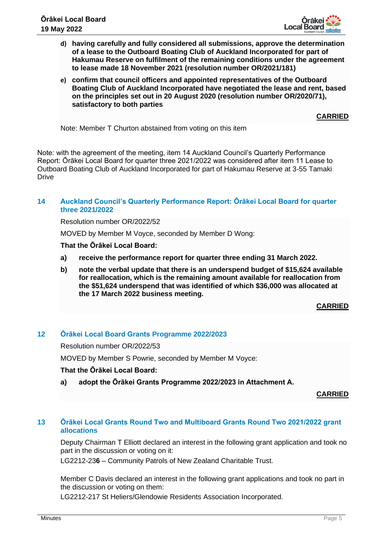

- **d) having carefully and fully considered all submissions, approve the determination of a lease to the Outboard Boating Club of Auckland Incorporated for part of Hakumau Reserve on fulfilment of the remaining conditions under the agreement to lease made 18 November 2021 (resolution number OR/2021/181)**
- **e) confirm that council officers and appointed representatives of the Outboard Boating Club of Auckland Incorporated have negotiated the lease and rent, based on the principles set out in 20 August 2020 (resolution number OR/2020/71), satisfactory to both parties**

**CARRIED**

Note: Member T Churton abstained from voting on this item

Note: with the agreement of the meeting, item 14 Auckland Council's Quarterly Performance Report: Ōrākei Local Board for quarter three 2021/2022 was considered after item 11 Lease to Outboard Boating Club of Auckland Incorporated for part of Hakumau Reserve at 3-55 Tamaki **Drive** 

## **14 Auckland Council's Quarterly Performance Report: Ōrākei Local Board for quarter three 2021/2022**

Resolution number OR/2022/52

MOVED by Member M Voyce, seconded by Member D Wong:

**That the Ōrākei Local Board:**

- **a) receive the performance report for quarter three ending 31 March 2022.**
- **b) note the verbal update that there is an underspend budget of \$15,624 available for reallocation, which is the remaining amount available for reallocation from the \$51,624 underspend that was identified of which \$36,000 was allocated at the 17 March 2022 business meeting.**

**CARRIED**

## **12 Ōrākei Local Board Grants Programme 2022/2023**

Resolution number OR/2022/53

MOVED by Member S Powrie, seconded by Member M Voyce:

## **That the Ōrākei Local Board:**

**a) adopt the Ōrākei Grants Programme 2022/2023 in Attachment A.**

**CARRIED**

## **13 Ōrākei Local Grants Round Two and Multiboard Grants Round Two 2021/2022 grant allocations**

Deputy Chairman T Elliott declared an interest in the following grant application and took no part in the discussion or voting on it:

LG2212-23**6** – Community Patrols of New Zealand Charitable Trust.

Member C Davis declared an interest in the following grant applications and took no part in the discussion or voting on them:

LG2212-217 St Heliers/Glendowie Residents Association Incorporated.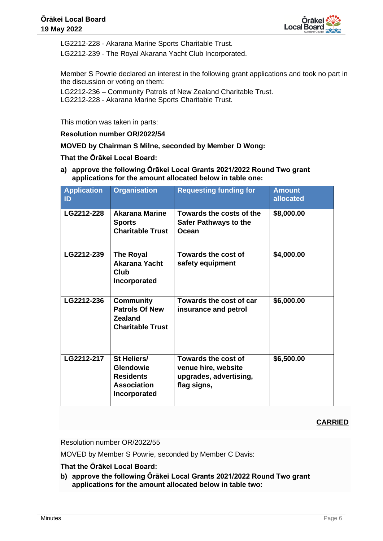

LG2212-228 - Akarana Marine Sports Charitable Trust.

LG2212-239 - The Royal Akarana Yacht Club Incorporated.

Member S Powrie declared an interest in the following grant applications and took no part in the discussion or voting on them:

LG2212-236 – Community Patrols of New Zealand Charitable Trust. LG2212-228 - Akarana Marine Sports Charitable Trust.

This motion was taken in parts:

**Resolution number OR/2022/54**

**MOVED by Chairman S Milne, seconded by Member D Wong:** 

## **That the Ōrākei Local Board:**

**a) approve the following Ōrākei Local Grants 2021/2022 Round Two grant applications for the amount allocated below in table one:**

| <b>Application</b><br>$\mathsf{ID}$ | <b>Organisation</b>                                                                       | <b>Requesting funding for</b>                                                       | <b>Amount</b><br>allocated |
|-------------------------------------|-------------------------------------------------------------------------------------------|-------------------------------------------------------------------------------------|----------------------------|
| LG2212-228                          | <b>Akarana Marine</b><br><b>Sports</b><br><b>Charitable Trust</b>                         | Towards the costs of the<br><b>Safer Pathways to the</b><br>Ocean                   | \$8,000.00                 |
| LG2212-239                          | The Royal<br>Akarana Yacht<br><b>Club</b><br>Incorporated                                 | Towards the cost of<br>safety equipment                                             | \$4,000.00                 |
| LG2212-236                          | <b>Community</b><br><b>Patrols Of New</b><br><b>Zealand</b><br><b>Charitable Trust</b>    | Towards the cost of car<br>insurance and petrol                                     | \$6,000.00                 |
| LG2212-217                          | St Heliers/<br><b>Glendowie</b><br><b>Residents</b><br><b>Association</b><br>Incorporated | Towards the cost of<br>venue hire, website<br>upgrades, advertising,<br>flag signs, | \$6,500.00                 |

# **CARRIED**

Resolution number OR/2022/55

MOVED by Member S Powrie, seconded by Member C Davis:

**That the Ōrākei Local Board:**

**b) approve the following Ōrākei Local Grants 2021/2022 Round Two grant applications for the amount allocated below in table two:**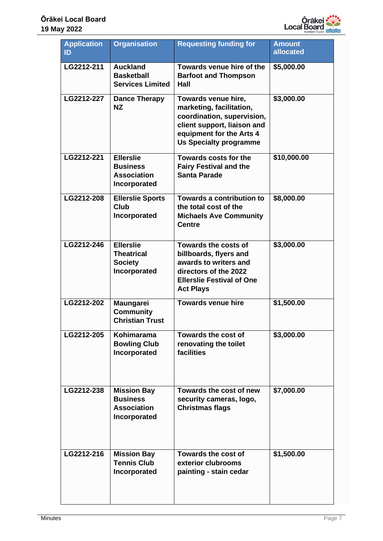

| <b>Application</b><br>ID | <b>Organisation</b>                                                         | <b>Requesting funding for</b>                                                                                                                                             | <b>Amount</b><br>allocated |
|--------------------------|-----------------------------------------------------------------------------|---------------------------------------------------------------------------------------------------------------------------------------------------------------------------|----------------------------|
| LG2212-211               | <b>Auckland</b><br><b>Basketball</b><br><b>Services Limited</b>             | Towards venue hire of the<br><b>Barfoot and Thompson</b><br>Hall                                                                                                          | \$5,000.00                 |
| LG2212-227               | <b>Dance Therapy</b><br><b>NZ</b>                                           | Towards venue hire,<br>marketing, facilitation,<br>coordination, supervision,<br>client support, liaison and<br>equipment for the Arts 4<br><b>Us Specialty programme</b> | \$3,000.00                 |
| LG2212-221               | <b>Ellerslie</b><br><b>Business</b><br><b>Association</b><br>Incorporated   | Towards costs for the<br><b>Fairy Festival and the</b><br><b>Santa Parade</b>                                                                                             | \$10,000.00                |
| LG2212-208               | <b>Ellerslie Sports</b><br><b>Club</b><br>Incorporated                      | Towards a contribution to<br>the total cost of the<br><b>Michaels Ave Community</b><br><b>Centre</b>                                                                      | \$8,000.00                 |
| LG2212-246               | <b>Ellerslie</b><br><b>Theatrical</b><br><b>Society</b><br>Incorporated     | <b>Towards the costs of</b><br>billboards, flyers and<br>awards to writers and<br>directors of the 2022<br><b>Ellerslie Festival of One</b><br><b>Act Plays</b>           | \$3,000.00                 |
| LG2212-202               | <b>Maungarei</b><br><b>Community</b><br><b>Christian Trust</b>              | <b>Towards venue hire</b>                                                                                                                                                 | \$1,500.00                 |
| LG2212-205               | <b>Kohimarama</b><br><b>Bowling Club</b><br>Incorporated                    | <b>Towards the cost of</b><br>renovating the toilet<br>facilities                                                                                                         | \$3,000.00                 |
| LG2212-238               | <b>Mission Bay</b><br><b>Business</b><br><b>Association</b><br>Incorporated | Towards the cost of new<br>security cameras, logo,<br><b>Christmas flags</b>                                                                                              | \$7,000.00                 |
| LG2212-216               | <b>Mission Bay</b><br><b>Tennis Club</b><br>Incorporated                    | <b>Towards the cost of</b><br>exterior clubrooms<br>painting - stain cedar                                                                                                | \$1,500.00                 |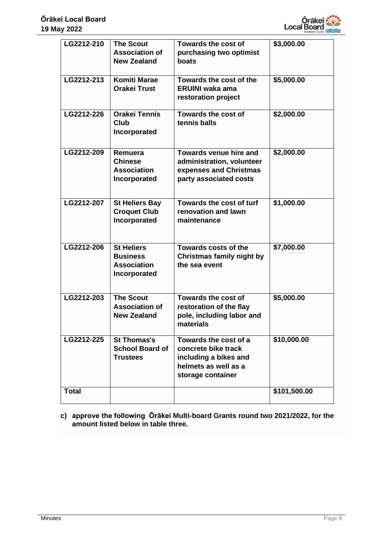

| LG2212-210   | <b>The Scout</b><br><b>Association of</b><br><b>New Zealand</b>            | <b>Towards the cost of</b><br>purchasing two optimist<br>boats                                                     | \$3,000.00   |
|--------------|----------------------------------------------------------------------------|--------------------------------------------------------------------------------------------------------------------|--------------|
| LG2212-213   | <b>Komiti Marae</b><br><b>Orakei Trust</b>                                 | Towards the cost of the<br><b>ERUINI waka ama</b><br>restoration project                                           | \$5,000.00   |
| LG2212-226   | <b>Orakei Tennis</b><br><b>Club</b><br>Incorporated                        | <b>Towards the cost of</b><br>tennis balls                                                                         | \$2,000.00   |
| LG2212-209   | Remuera<br><b>Chinese</b><br><b>Association</b><br>Incorporated            | Towards venue hire and<br>administration, volunteer<br>expenses and Christmas<br>party associated costs            | \$2,000.00   |
| LG2212-207   | <b>St Heliers Bay</b><br><b>Croquet Club</b><br>Incorporated               | Towards the cost of turf<br>renovation and lawn<br>maintenance                                                     | \$1,000.00   |
| LG2212-206   | <b>St Heliers</b><br><b>Business</b><br><b>Association</b><br>Incorporated | <b>Towards costs of the</b><br>Christmas family night by<br>the sea event                                          | \$7,000.00   |
| LG2212-203   | <b>The Scout</b><br><b>Association of</b><br><b>New Zealand</b>            | Towards the cost of<br>restoration of the flay<br>pole, including labor and<br>materials                           | \$5,000.00   |
| LG2212-225   | <b>St Thomas's</b><br><b>School Board of</b><br><b>Trustees</b>            | Towards the cost of a<br>concrete bike track<br>including a bikes and<br>helmets as well as a<br>storage container | \$10,000.00  |
| <b>Total</b> |                                                                            |                                                                                                                    | \$101,500.00 |

**c) approve the following Ōrākei Multi-board Grants round two 2021/2022, for the amount listed below in table three.**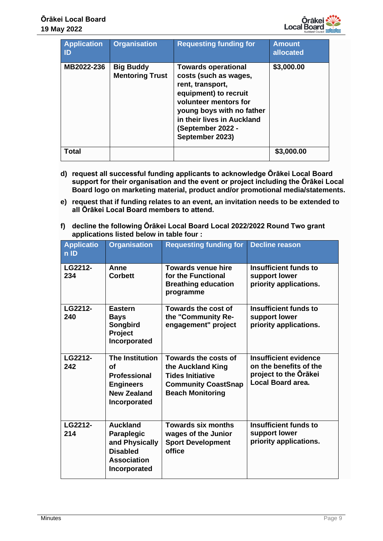| <b>Application</b><br>ID | <b>Organisation</b>                        | <b>Requesting funding for</b>                                                                                                                                                                                                | <b>Amount</b><br>allocated |
|--------------------------|--------------------------------------------|------------------------------------------------------------------------------------------------------------------------------------------------------------------------------------------------------------------------------|----------------------------|
| MB2022-236               | <b>Big Buddy</b><br><b>Mentoring Trust</b> | <b>Towards operational</b><br>costs (such as wages,<br>rent, transport,<br>equipment) to recruit<br>volunteer mentors for<br>young boys with no father<br>in their lives in Auckland<br>(September 2022 -<br>September 2023) | \$3,000.00                 |
| Total                    |                                            |                                                                                                                                                                                                                              | \$3,000.00                 |

- **d) request all successful funding applicants to acknowledge Ōrākei Local Board support for their organisation and the event or project including the Ōrākei Local Board logo on marketing material, product and/or promotional media/statements.**
- **e) request that if funding relates to an event, an invitation needs to be extended to all Ōrākei Local Board members to attend.**
- **f) decline the following Ōrākei Local Board Local 2022/2022 Round Two grant applications listed below in table four :**

| <b>Applicatio</b><br>$n$ ID | <b>Organisation</b>                                                                                                  | <b>Requesting funding for</b>                                                                                                 | <b>Decline reason</b>                                                                                       |
|-----------------------------|----------------------------------------------------------------------------------------------------------------------|-------------------------------------------------------------------------------------------------------------------------------|-------------------------------------------------------------------------------------------------------------|
| LG2212-<br>234              | Anne<br><b>Corbett</b>                                                                                               | <b>Towards venue hire</b><br>for the Functional<br><b>Breathing education</b><br>programme                                    | Insufficient funds to<br>support lower<br>priority applications.                                            |
| LG2212-<br>240              | <b>Eastern</b><br><b>Bays</b><br>Songbird<br>Project<br>Incorporated                                                 | Towards the cost of<br>the "Community Re-<br>engagement" project                                                              | <b>Insufficient funds to</b><br>support lower<br>priority applications.                                     |
| LG2212-<br>242              | <b>The Institution</b><br><b>of</b><br><b>Professional</b><br><b>Engineers</b><br><b>New Zealand</b><br>Incorporated | Towards the costs of<br>the Auckland King<br><b>Tides Initiative</b><br><b>Community CoastSnap</b><br><b>Beach Monitoring</b> | <b>Insufficient evidence</b><br>on the benefits of the<br>project to the Orākei<br><b>Local Board area.</b> |
| LG2212-<br>214              | <b>Auckland</b><br><b>Paraplegic</b><br>and Physically<br><b>Disabled</b><br><b>Association</b><br>Incorporated      | <b>Towards six months</b><br>wages of the Junior<br><b>Sport Development</b><br>office                                        | <b>Insufficient funds to</b><br>support lower<br>priority applications.                                     |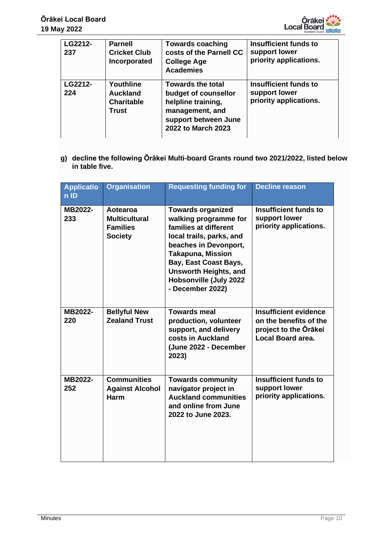

| LG2212-<br>237 | <b>Parnell</b><br><b>Cricket Club</b><br>Incorporated             | <b>Towards coaching</b><br>costs of the Parnell CC<br><b>College Age</b><br><b>Academies</b>                                            | <b>Insufficient funds to</b><br>support lower<br>priority applications. |
|----------------|-------------------------------------------------------------------|-----------------------------------------------------------------------------------------------------------------------------------------|-------------------------------------------------------------------------|
| LG2212-<br>224 | Youthline<br><b>Auckland</b><br><b>Charitable</b><br><b>Trust</b> | <b>Towards the total</b><br>budget of counsellor<br>helpline training,<br>management, and<br>support between June<br>2022 to March 2023 | <b>Insufficient funds to</b><br>support lower<br>priority applications. |

**g) decline the following Ōrākei Multi-board Grants round two 2021/2022, listed below in table five.**

| <b>Applicatio</b><br>n ID | <b>Organisation</b>                                                   | <b>Requesting funding for</b>                                                                                                                                                                                                                                                    | <b>Decline reason</b>                                                                                |
|---------------------------|-----------------------------------------------------------------------|----------------------------------------------------------------------------------------------------------------------------------------------------------------------------------------------------------------------------------------------------------------------------------|------------------------------------------------------------------------------------------------------|
| MB2022-<br>233            | Aotearoa<br><b>Multicultural</b><br><b>Families</b><br><b>Society</b> | <b>Towards organized</b><br>walking programme for<br>families at different<br>local trails, parks, and<br>beaches in Devonport,<br><b>Takapuna, Mission</b><br><b>Bay, East Coast Bays,</b><br><b>Unsworth Heights, and</b><br><b>Hobsonville (July 2022</b><br>- December 2022) | <b>Insufficient funds to</b><br>support lower<br>priority applications.                              |
| MB2022-<br>220            | <b>Bellyful New</b><br><b>Zealand Trust</b>                           | <b>Towards meal</b><br>production, volunteer<br>support, and delivery<br>costs in Auckland<br>(June 2022 - December<br>2023)                                                                                                                                                     | <b>Insufficient evidence</b><br>on the benefits of the<br>project to the Orākei<br>Local Board area. |
| MB2022-<br>252            | <b>Communities</b><br><b>Against Alcohol</b><br><b>Harm</b>           | <b>Towards community</b><br>navigator project in<br><b>Auckland communities</b><br>and online from June<br>2022 to June 2023.                                                                                                                                                    | <b>Insufficient funds to</b><br>support lower<br>priority applications.                              |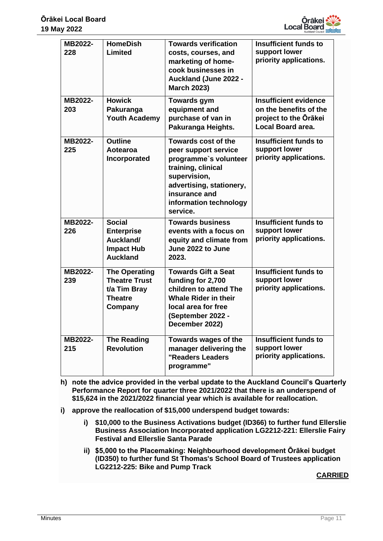

| MB2022-<br>228 | <b>HomeDish</b><br><b>Limited</b>                                                         | <b>Towards verification</b><br>costs, courses, and<br>marketing of home-<br>cook businesses in<br><b>Auckland (June 2022 -</b><br><b>March 2023)</b>                                                 | <b>Insufficient funds to</b><br>support lower<br>priority applications.                              |
|----------------|-------------------------------------------------------------------------------------------|------------------------------------------------------------------------------------------------------------------------------------------------------------------------------------------------------|------------------------------------------------------------------------------------------------------|
| MB2022-<br>203 | <b>Howick</b><br>Pakuranga<br><b>Youth Academy</b>                                        | <b>Towards gym</b><br>equipment and<br>purchase of van in<br>Pakuranga Heights.                                                                                                                      | <b>Insufficient evidence</b><br>on the benefits of the<br>project to the Orākei<br>Local Board area. |
| MB2022-<br>225 | <b>Outline</b><br>Aotearoa<br>Incorporated                                                | <b>Towards cost of the</b><br>peer support service<br>programme's volunteer<br>training, clinical<br>supervision,<br>advertising, stationery,<br>insurance and<br>information technology<br>service. | <b>Insufficient funds to</b><br>support lower<br>priority applications.                              |
| MB2022-<br>226 | <b>Social</b><br><b>Enterprise</b><br>Auckland/<br><b>Impact Hub</b><br><b>Auckland</b>   | <b>Towards business</b><br>events with a focus on<br>equity and climate from<br>June 2022 to June<br>2023.                                                                                           | <b>Insufficient funds to</b><br>support lower<br>priority applications.                              |
| MB2022-<br>239 | <b>The Operating</b><br><b>Theatre Trust</b><br>t/a Tim Bray<br><b>Theatre</b><br>Company | <b>Towards Gift a Seat</b><br>funding for 2,700<br>children to attend The<br><b>Whale Rider in their</b><br>local area for free<br>(September 2022 -<br>December 2022)                               | <b>Insufficient funds to</b><br>support lower<br>priority applications.                              |
| MB2022-<br>215 | <b>The Reading</b><br><b>Revolution</b>                                                   | Towards wages of the<br>manager delivering the<br>"Readers Leaders<br>programme"                                                                                                                     | <b>Insufficient funds to</b><br>support lower<br>priority applications.                              |

- **h) note the advice provided in the verbal update to the Auckland Council's Quarterly Performance Report for quarter three 2021/2022 that there is an underspend of \$15,624 in the 2021/2022 financial year which is available for reallocation.**
- **i) approve the reallocation of \$15,000 underspend budget towards:**
	- **i) \$10,000 to the Business Activations budget (ID366) to further fund Ellerslie Business Association Incorporated application LG2212-221: Ellerslie Fairy Festival and Ellerslie Santa Parade**
	- **ii) \$5,000 to the Placemaking: Neighbourhood development Ōrākei budget (ID350) to further fund St Thomas's School Board of Trustees application LG2212-225: Bike and Pump Track**

**CARRIED**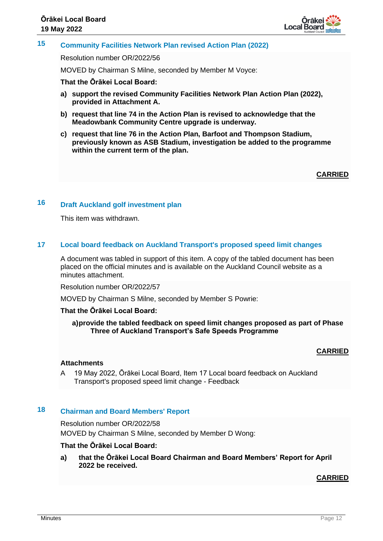

# **15 Community Facilities Network Plan revised Action Plan (2022)**

Resolution number OR/2022/56

MOVED by Chairman S Milne, seconded by Member M Voyce:

#### **That the Ōrākei Local Board:**

- **a) support the revised Community Facilities Network Plan Action Plan (2022), provided in Attachment A.**
- **b) request that line 74 in the Action Plan is revised to acknowledge that the Meadowbank Community Centre upgrade is underway.**
- **c) request that line 76 in the Action Plan, Barfoot and Thompson Stadium, previously known as ASB Stadium, investigation be added to the programme within the current term of the plan.**

**CARRIED**

# **16 Draft Auckland golf investment plan**

This item was withdrawn.

#### **17 Local board feedback on Auckland Transport's proposed speed limit changes**

A document was tabled in support of this item. A copy of the tabled document has been placed on the official minutes and is available on the Auckland Council website as a minutes attachment.

Resolution number OR/2022/57

MOVED by Chairman S Milne, seconded by Member S Powrie:

#### **That the Ōrākei Local Board:**

**a)provide the tabled feedback on speed limit changes proposed as part of Phase Three of Auckland Transport's Safe Speeds Programme**

#### **CARRIED**

#### **Attachments**

A 19 May 2022, Ōrākei Local Board, Item 17 Local board feedback on Auckland Transport's proposed speed limit change - Feedback

# **18 Chairman and Board Members' Report**

Resolution number OR/2022/58

MOVED by Chairman S Milne, seconded by Member D Wong:

#### **That the Ōrākei Local Board:**

**a) that the Ōrākei Local Board Chairman and Board Members' Report for April 2022 be received.**

#### **CARRIED**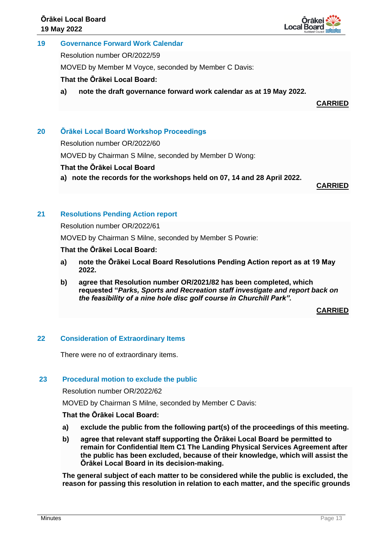

## **19 Governance Forward Work Calendar**

Resolution number OR/2022/59

MOVED by Member M Voyce, seconded by Member C Davis:

**That the Ōrākei Local Board:**

**a) note the draft governance forward work calendar as at 19 May 2022.**

**CARRIED**

# **20 Ōrākei Local Board Workshop Proceedings**

Resolution number OR/2022/60

MOVED by Chairman S Milne, seconded by Member D Wong:

#### **That the Ōrākei Local Board**

**a) note the records for the workshops held on 07, 14 and 28 April 2022.**

**CARRIED**

## **21 Resolutions Pending Action report**

Resolution number OR/2022/61

MOVED by Chairman S Milne, seconded by Member S Powrie:

## **That the Ōrākei Local Board:**

- **a) note the Ōrākei Local Board Resolutions Pending Action report as at 19 May 2022.**
- **b) agree that Resolution number OR/2021/82 has been completed, which requested "***Parks, Sports and Recreation staff investigate and report back on the feasibility of a nine hole disc golf course in Churchill Park".*

**CARRIED**

#### **22 Consideration of Extraordinary Items**

There were no of extraordinary items.

#### **23 Procedural motion to exclude the public**

Resolution number OR/2022/62

MOVED by Chairman S Milne, seconded by Member C Davis:

#### **That the Ōrākei Local Board:**

- **a) exclude the public from the following part(s) of the proceedings of this meeting.**
- **b) agree that relevant staff supporting the Ōrākei Local Board be permitted to remain for Confidential Item C1 The Landing Physical Services Agreement after the public has been excluded, because of their knowledge, which will assist the Ōrākei Local Board in its decision-making.**

**The general subject of each matter to be considered while the public is excluded, the reason for passing this resolution in relation to each matter, and the specific grounds**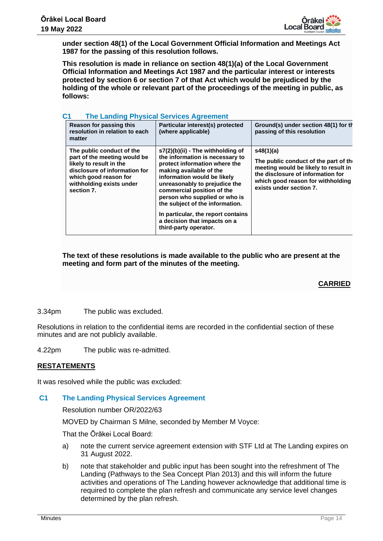

**under section 48(1) of the Local Government Official Information and Meetings Act 1987 for the passing of this resolution follows.**

**This resolution is made in reliance on section 48(1)(a) of the Local Government Official Information and Meetings Act 1987 and the particular interest or interests protected by section 6 or section 7 of that Act which would be prejudiced by the holding of the whole or relevant part of the proceedings of the meeting in public, as follows:**

| С1<br>The Landing Physical Services Agreement                                                                                                                                            |  |                                                                                                                                                                                                                                                                                                                                                                                                     |                                                                                                                                                                                                 |  |
|------------------------------------------------------------------------------------------------------------------------------------------------------------------------------------------|--|-----------------------------------------------------------------------------------------------------------------------------------------------------------------------------------------------------------------------------------------------------------------------------------------------------------------------------------------------------------------------------------------------------|-------------------------------------------------------------------------------------------------------------------------------------------------------------------------------------------------|--|
| Reason for passing this<br>resolution in relation to each<br>matter                                                                                                                      |  | Particular interest(s) protected<br>(where applicable)                                                                                                                                                                                                                                                                                                                                              | Ground(s) under section 48(1) for th<br>passing of this resolution                                                                                                                              |  |
| The public conduct of the<br>part of the meeting would be<br>likely to result in the<br>disclosure of information for<br>which good reason for<br>withholding exists under<br>section 7. |  | $s7(2)(b)(ii)$ - The withholding of<br>the information is necessary to<br>protect information where the<br>making available of the<br>information would be likely<br>unreasonably to prejudice the<br>commercial position of the<br>person who supplied or who is<br>the subject of the information.<br>In particular, the report contains<br>a decision that impacts on a<br>third-party operator. | s48(1)(a)<br>The public conduct of the part of the<br>meeting would be likely to result in<br>the disclosure of information for<br>which good reason for withholding<br>exists under section 7. |  |

#### **C1 The Landing Physical Services Agreement**

**The text of these resolutions is made available to the public who are present at the meeting and form part of the minutes of the meeting.**

#### **CARRIED**

3.34pm The public was excluded.

Resolutions in relation to the confidential items are recorded in the confidential section of these minutes and are not publicly available.

4.22pm The public was re-admitted.

#### **RESTATEMENTS**

It was resolved while the public was excluded:

## **C1 The Landing Physical Services Agreement**

Resolution number OR/2022/63

MOVED by Chairman S Milne, seconded by Member M Voyce:

That the Ōrākei Local Board:

- a) note the current service agreement extension with STF Ltd at The Landing expires on 31 August 2022.
- b) note that stakeholder and public input has been sought into the refreshment of The Landing (Pathways to the Sea Concept Plan 2013) and this will inform the future activities and operations of The Landing however acknowledge that additional time is required to complete the plan refresh and communicate any service level changes determined by the plan refresh.